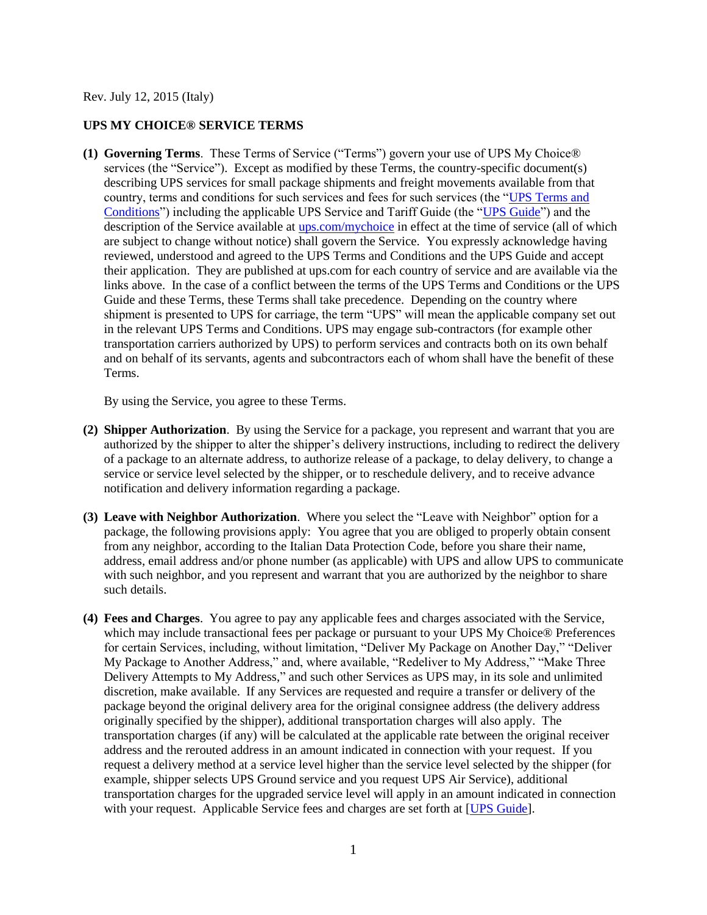Rev. July 12, 2015 (Italy)

## **UPS MY CHOICE® SERVICE TERMS**

**(1) Governing Terms**. These Terms of Service ("Terms") govern your use of UPS My Choice® services (the "Service"). Except as modified by these Terms, the country-specific document(s) describing UPS services for small package shipments and freight movements available from that country, terms and conditions for such services and fees for such services (the ["UPS Terms and](http://www.ups.com/content/it/en/resources/ship/terms/shipping/index.html?WT.svl=Footer)  [Conditions"](http://www.ups.com/content/it/en/resources/ship/terms/shipping/index.html?WT.svl=Footer)) including the applicable UPS Service and Tariff Guide (the ["UPS Guide"](http://www.ups.com/content/it/en/shipping/cost/zones/index.html)) and the description of the Service available at [ups.com/mychoice](http://www.ups.com/content/it/en/tracking/ups_mychoice.html) in effect at the time of service (all of which are subject to change without notice) shall govern the Service. You expressly acknowledge having reviewed, understood and agreed to the UPS Terms and Conditions and the UPS Guide and accept their application. They are published at ups.com for each country of service and are available via the links above. In the case of a conflict between the terms of the UPS Terms and Conditions or the UPS Guide and these Terms, these Terms shall take precedence. Depending on the country where shipment is presented to UPS for carriage, the term "UPS" will mean the applicable company set out in the relevant UPS Terms and Conditions. UPS may engage sub-contractors (for example other transportation carriers authorized by UPS) to perform services and contracts both on its own behalf and on behalf of its servants, agents and subcontractors each of whom shall have the benefit of these Terms.

By using the Service, you agree to these Terms.

- **(2) Shipper Authorization**. By using the Service for a package, you represent and warrant that you are authorized by the shipper to alter the shipper's delivery instructions, including to redirect the delivery of a package to an alternate address, to authorize release of a package, to delay delivery, to change a service or service level selected by the shipper, or to reschedule delivery, and to receive advance notification and delivery information regarding a package.
- **(3) Leave with Neighbor Authorization**. Where you select the "Leave with Neighbor" option for a package, the following provisions apply: You agree that you are obliged to properly obtain consent from any neighbor, according to the Italian Data Protection Code, before you share their name, address, email address and/or phone number (as applicable) with UPS and allow UPS to communicate with such neighbor, and you represent and warrant that you are authorized by the neighbor to share such details.
- **(4) Fees and Charges**. You agree to pay any applicable fees and charges associated with the Service, which may include transactional fees per package or pursuant to your UPS My Choice<sup>®</sup> Preferences for certain Services, including, without limitation, "Deliver My Package on Another Day," "Deliver My Package to Another Address," and, where available, "Redeliver to My Address," "Make Three Delivery Attempts to My Address," and such other Services as UPS may, in its sole and unlimited discretion, make available. If any Services are requested and require a transfer or delivery of the package beyond the original delivery area for the original consignee address (the delivery address originally specified by the shipper), additional transportation charges will also apply. The transportation charges (if any) will be calculated at the applicable rate between the original receiver address and the rerouted address in an amount indicated in connection with your request. If you request a delivery method at a service level higher than the service level selected by the shipper (for example, shipper selects UPS Ground service and you request UPS Air Service), additional transportation charges for the upgraded service level will apply in an amount indicated in connection with your request. Applicable Service fees and charges are set forth at [\[UPS Guide\]](http://www.ups.com/content/it/en/shipping/cost/zones/index.html).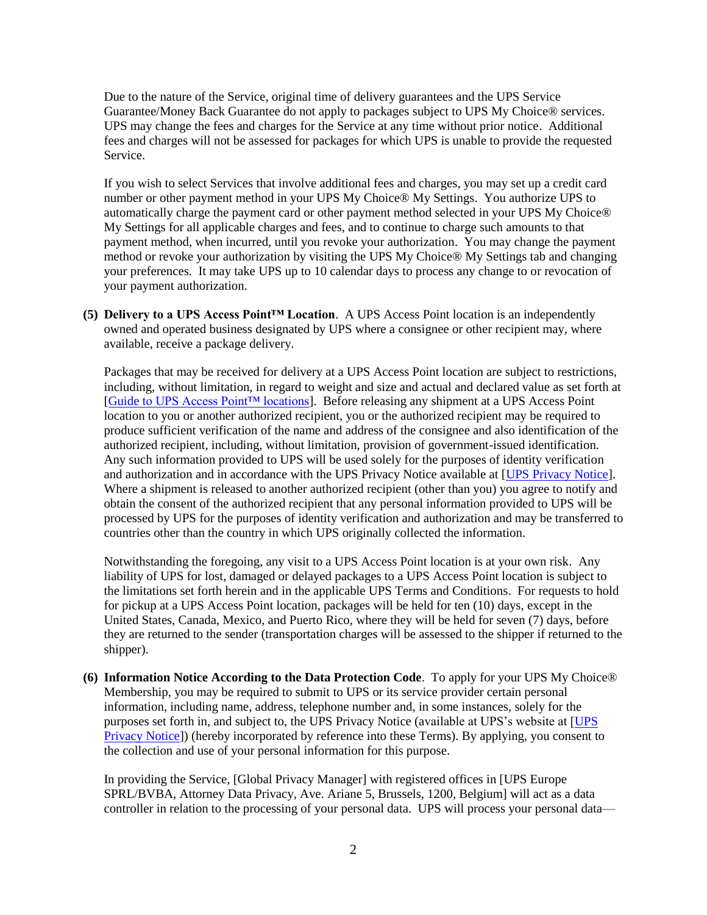Due to the nature of the Service, original time of delivery guarantees and the UPS Service Guarantee/Money Back Guarantee do not apply to packages subject to UPS My Choice® services. UPS may change the fees and charges for the Service at any time without prior notice. Additional fees and charges will not be assessed for packages for which UPS is unable to provide the requested Service.

If you wish to select Services that involve additional fees and charges, you may set up a credit card number or other payment method in your UPS My Choice® My Settings. You authorize UPS to automatically charge the payment card or other payment method selected in your UPS My Choice® My Settings for all applicable charges and fees, and to continue to charge such amounts to that payment method, when incurred, until you revoke your authorization. You may change the payment method or revoke your authorization by visiting the UPS My Choice® My Settings tab and changing your preferences. It may take UPS up to 10 calendar days to process any change to or revocation of your payment authorization.

**(5) Delivery to a UPS Access Point™ Location**. A UPS Access Point location is an independently owned and operated business designated by UPS where a consignee or other recipient may, where available, receive a package delivery.

Packages that may be received for delivery at a UPS Access Point location are subject to restrictions, including, without limitation, in regard to weight and size and actual and declared value as set forth at [\[Guide to UPS Access Point™ locations\]](http://www.ups.com/accesspoint/). Before releasing any shipment at a UPS Access Point location to you or another authorized recipient, you or the authorized recipient may be required to produce sufficient verification of the name and address of the consignee and also identification of the authorized recipient, including, without limitation, provision of government-issued identification. Any such information provided to UPS will be used solely for the purposes of identity verification and authorization and in accordance with the UPS Privacy Notice available at [\[UPS Privacy Notice\]](http://www.ups.com/content/it/en/resources/ship/terms/privacy.html). Where a shipment is released to another authorized recipient (other than you) you agree to notify and obtain the consent of the authorized recipient that any personal information provided to UPS will be processed by UPS for the purposes of identity verification and authorization and may be transferred to countries other than the country in which UPS originally collected the information.

Notwithstanding the foregoing, any visit to a UPS Access Point location is at your own risk. Any liability of UPS for lost, damaged or delayed packages to a UPS Access Point location is subject to the limitations set forth herein and in the applicable UPS Terms and Conditions. For requests to hold for pickup at a UPS Access Point location, packages will be held for ten (10) days, except in the United States, Canada, Mexico, and Puerto Rico, where they will be held for seven (7) days, before they are returned to the sender (transportation charges will be assessed to the shipper if returned to the shipper).

**(6) Information Notice According to the Data Protection Code**. To apply for your UPS My Choice® Membership, you may be required to submit to UPS or its service provider certain personal information, including name, address, telephone number and, in some instances, solely for the purposes set forth in, and subject to, the UPS Privacy Notice (available at UPS's website at [\[UPS](http://www.ups.com/content/it/en/resources/ship/terms/privacy.html)  [Privacy Notice\]](http://www.ups.com/content/it/en/resources/ship/terms/privacy.html)) (hereby incorporated by reference into these Terms). By applying, you consent to the collection and use of your personal information for this purpose.

In providing the Service, [Global Privacy Manager] with registered offices in [UPS Europe SPRL/BVBA, Attorney Data Privacy, Ave. Ariane 5, Brussels, 1200, Belgium] will act as a data controller in relation to the processing of your personal data. UPS will process your personal data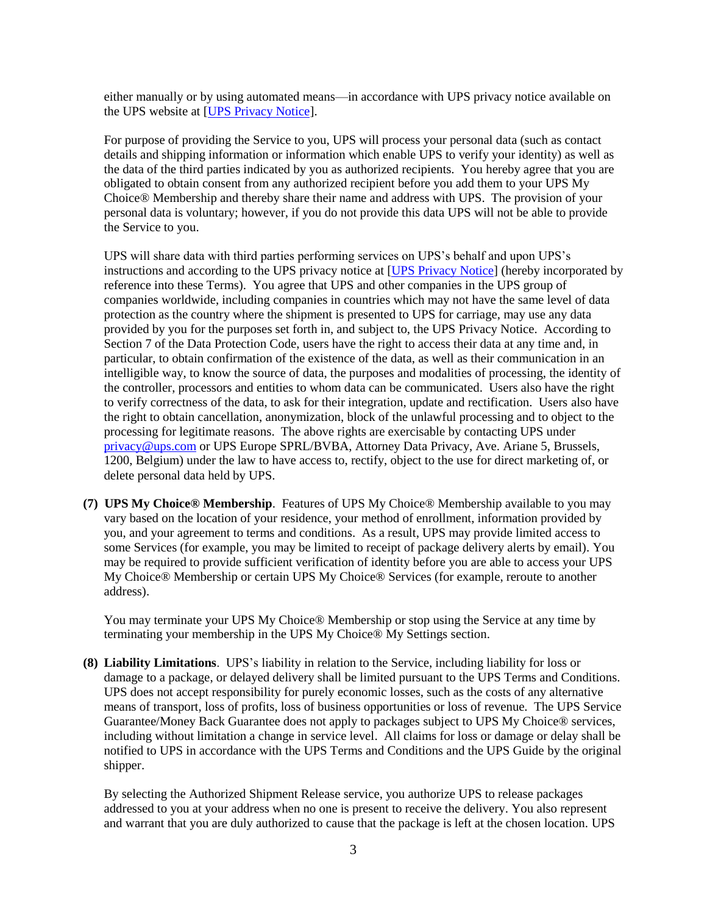either manually or by using automated means—in accordance with UPS privacy notice available on the UPS website at [\[UPS Privacy Notice\]](http://www.ups.com/content/it/en/resources/ship/terms/privacy.html).

For purpose of providing the Service to you, UPS will process your personal data (such as contact details and shipping information or information which enable UPS to verify your identity) as well as the data of the third parties indicated by you as authorized recipients. You hereby agree that you are obligated to obtain consent from any authorized recipient before you add them to your UPS My Choice® Membership and thereby share their name and address with UPS. The provision of your personal data is voluntary; however, if you do not provide this data UPS will not be able to provide the Service to you.

UPS will share data with third parties performing services on UPS's behalf and upon UPS's instructions and according to the UPS privacy notice at [\[UPS Privacy Notice\]](http://www.ups.com/content/it/en/resources/ship/terms/privacy.html) (hereby incorporated by reference into these Terms). You agree that UPS and other companies in the UPS group of companies worldwide, including companies in countries which may not have the same level of data protection as the country where the shipment is presented to UPS for carriage, may use any data provided by you for the purposes set forth in, and subject to, the UPS Privacy Notice. According to Section 7 of the Data Protection Code, users have the right to access their data at any time and, in particular, to obtain confirmation of the existence of the data, as well as their communication in an intelligible way, to know the source of data, the purposes and modalities of processing, the identity of the controller, processors and entities to whom data can be communicated. Users also have the right to verify correctness of the data, to ask for their integration, update and rectification. Users also have the right to obtain cancellation, anonymization, block of the unlawful processing and to object to the processing for legitimate reasons. The above rights are exercisable by contacting UPS under [privacy@ups.com](mailto:privacy@ups.com) or UPS Europe SPRL/BVBA, Attorney Data Privacy, Ave. Ariane 5, Brussels, 1200, Belgium) under the law to have access to, rectify, object to the use for direct marketing of, or delete personal data held by UPS.

**(7) UPS My Choice® Membership**. Features of UPS My Choice® Membership available to you may vary based on the location of your residence, your method of enrollment, information provided by you, and your agreement to terms and conditions. As a result, UPS may provide limited access to some Services (for example, you may be limited to receipt of package delivery alerts by email). You may be required to provide sufficient verification of identity before you are able to access your UPS My Choice® Membership or certain UPS My Choice® Services (for example, reroute to another address).

You may terminate your UPS My Choice® Membership or stop using the Service at any time by terminating your membership in the UPS My Choice® My Settings section.

**(8) Liability Limitations**. UPS's liability in relation to the Service, including liability for loss or damage to a package, or delayed delivery shall be limited pursuant to the UPS Terms and Conditions. UPS does not accept responsibility for purely economic losses, such as the costs of any alternative means of transport, loss of profits, loss of business opportunities or loss of revenue. The UPS Service Guarantee/Money Back Guarantee does not apply to packages subject to UPS My Choice® services, including without limitation a change in service level. All claims for loss or damage or delay shall be notified to UPS in accordance with the UPS Terms and Conditions and the UPS Guide by the original shipper.

By selecting the Authorized Shipment Release service, you authorize UPS to release packages addressed to you at your address when no one is present to receive the delivery. You also represent and warrant that you are duly authorized to cause that the package is left at the chosen location. UPS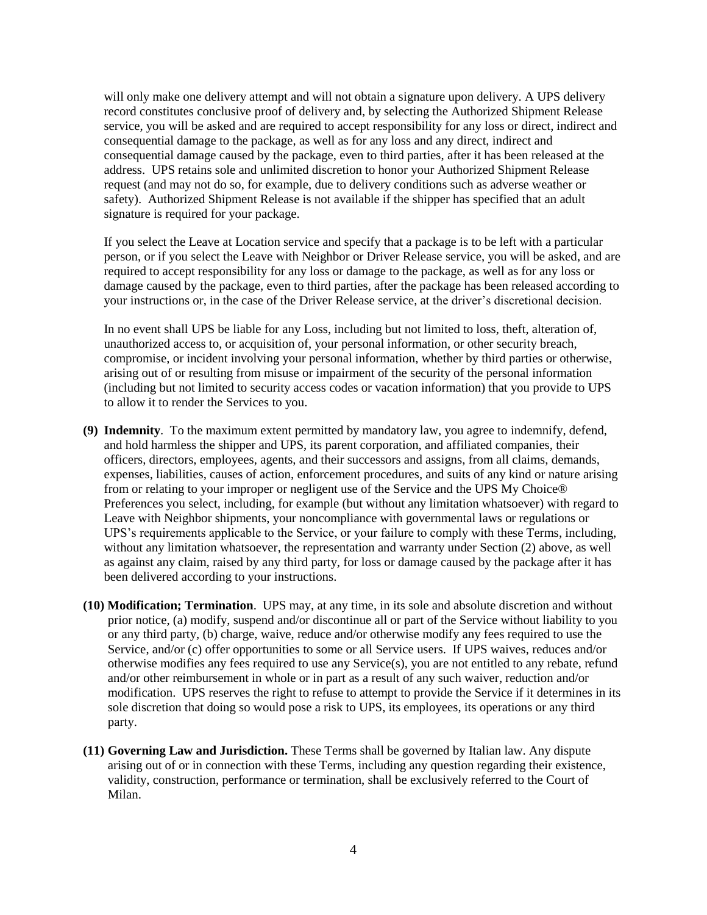will only make one delivery attempt and will not obtain a signature upon delivery. A UPS delivery record constitutes conclusive proof of delivery and, by selecting the Authorized Shipment Release service, you will be asked and are required to accept responsibility for any loss or direct, indirect and consequential damage to the package, as well as for any loss and any direct, indirect and consequential damage caused by the package, even to third parties, after it has been released at the address. UPS retains sole and unlimited discretion to honor your Authorized Shipment Release request (and may not do so, for example, due to delivery conditions such as adverse weather or safety). Authorized Shipment Release is not available if the shipper has specified that an adult signature is required for your package.

If you select the Leave at Location service and specify that a package is to be left with a particular person, or if you select the Leave with Neighbor or Driver Release service, you will be asked, and are required to accept responsibility for any loss or damage to the package, as well as for any loss or damage caused by the package, even to third parties, after the package has been released according to your instructions or, in the case of the Driver Release service, at the driver's discretional decision.

In no event shall UPS be liable for any Loss, including but not limited to loss, theft, alteration of, unauthorized access to, or acquisition of, your personal information, or other security breach, compromise, or incident involving your personal information, whether by third parties or otherwise, arising out of or resulting from misuse or impairment of the security of the personal information (including but not limited to security access codes or vacation information) that you provide to UPS to allow it to render the Services to you.

- **(9) Indemnity**. To the maximum extent permitted by mandatory law, you agree to indemnify, defend, and hold harmless the shipper and UPS, its parent corporation, and affiliated companies, their officers, directors, employees, agents, and their successors and assigns, from all claims, demands, expenses, liabilities, causes of action, enforcement procedures, and suits of any kind or nature arising from or relating to your improper or negligent use of the Service and the UPS My Choice® Preferences you select, including, for example (but without any limitation whatsoever) with regard to Leave with Neighbor shipments, your noncompliance with governmental laws or regulations or UPS's requirements applicable to the Service, or your failure to comply with these Terms, including, without any limitation whatsoever, the representation and warranty under Section (2) above, as well as against any claim, raised by any third party, for loss or damage caused by the package after it has been delivered according to your instructions.
- **(10) Modification; Termination**. UPS may, at any time, in its sole and absolute discretion and without prior notice, (a) modify, suspend and/or discontinue all or part of the Service without liability to you or any third party, (b) charge, waive, reduce and/or otherwise modify any fees required to use the Service, and/or (c) offer opportunities to some or all Service users. If UPS waives, reduces and/or otherwise modifies any fees required to use any Service(s), you are not entitled to any rebate, refund and/or other reimbursement in whole or in part as a result of any such waiver, reduction and/or modification. UPS reserves the right to refuse to attempt to provide the Service if it determines in its sole discretion that doing so would pose a risk to UPS, its employees, its operations or any third party.
- **(11) Governing Law and Jurisdiction.** These Terms shall be governed by Italian law. Any dispute arising out of or in connection with these Terms, including any question regarding their existence, validity, construction, performance or termination, shall be exclusively referred to the Court of Milan.